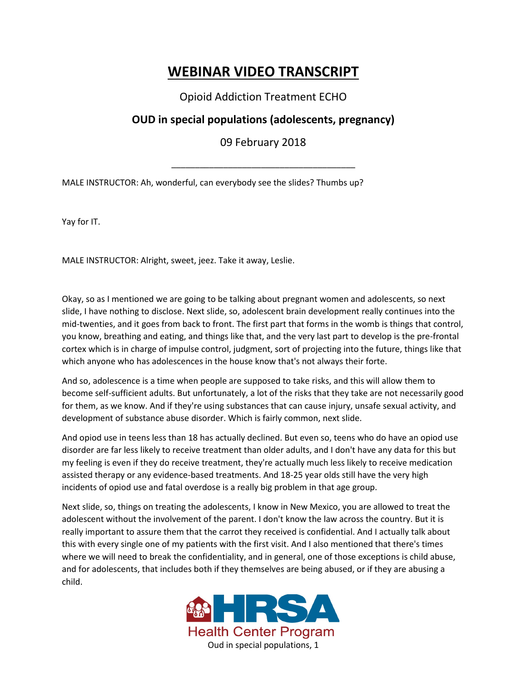## **WEBINAR VIDEO TRANSCRIPT**

Opioid Addiction Treatment ECHO

## **OUD in special populations (adolescents, pregnancy)**

09 February 2018

\_\_\_\_\_\_\_\_\_\_\_\_\_\_\_\_\_\_\_\_\_\_\_\_\_\_\_\_\_\_\_\_\_\_\_\_\_\_\_

MALE INSTRUCTOR: Ah, wonderful, can everybody see the slides? Thumbs up?

Yay for IT.

MALE INSTRUCTOR: Alright, sweet, jeez. Take it away, Leslie.

Okay, so as I mentioned we are going to be talking about pregnant women and adolescents, so next slide, I have nothing to disclose. Next slide, so, adolescent brain development really continues into the mid-twenties, and it goes from back to front. The first part that forms in the womb is things that control, you know, breathing and eating, and things like that, and the very last part to develop is the pre-frontal cortex which is in charge of impulse control, judgment, sort of projecting into the future, things like that which anyone who has adolescences in the house know that's not always their forte.

And so, adolescence is a time when people are supposed to take risks, and this will allow them to become self-sufficient adults. But unfortunately, a lot of the risks that they take are not necessarily good for them, as we know. And if they're using substances that can cause injury, unsafe sexual activity, and development of substance abuse disorder. Which is fairly common, next slide.

And opiod use in teens less than 18 has actually declined. But even so, teens who do have an opiod use disorder are far less likely to receive treatment than older adults, and I don't have any data for this but my feeling is even if they do receive treatment, they're actually much less likely to receive medication assisted therapy or any evidence-based treatments. And 18-25 year olds still have the very high incidents of opiod use and fatal overdose is a really big problem in that age group.

Next slide, so, things on treating the adolescents, I know in New Mexico, you are allowed to treat the adolescent without the involvement of the parent. I don't know the law across the country. But it is really important to assure them that the carrot they received is confidential. And I actually talk about this with every single one of my patients with the first visit. And I also mentioned that there's times where we will need to break the confidentiality, and in general, one of those exceptions is child abuse, and for adolescents, that includes both if they themselves are being abused, or if they are abusing a child.

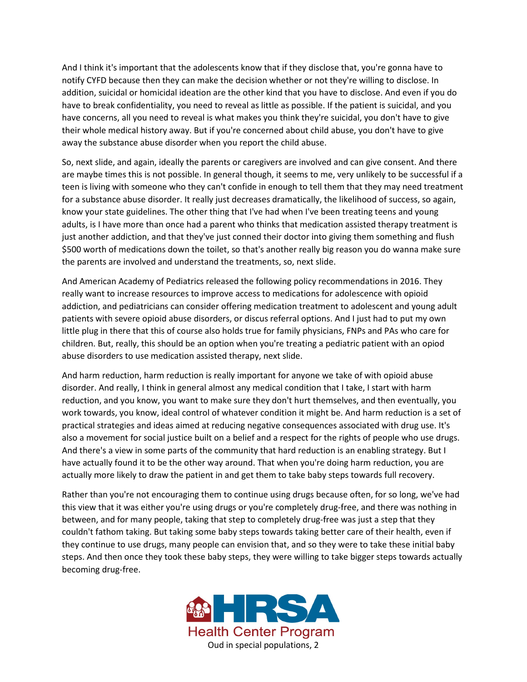And I think it's important that the adolescents know that if they disclose that, you're gonna have to notify CYFD because then they can make the decision whether or not they're willing to disclose. In addition, suicidal or homicidal ideation are the other kind that you have to disclose. And even if you do have to break confidentiality, you need to reveal as little as possible. If the patient is suicidal, and you have concerns, all you need to reveal is what makes you think they're suicidal, you don't have to give their whole medical history away. But if you're concerned about child abuse, you don't have to give away the substance abuse disorder when you report the child abuse.

So, next slide, and again, ideally the parents or caregivers are involved and can give consent. And there are maybe times this is not possible. In general though, it seems to me, very unlikely to be successful if a teen is living with someone who they can't confide in enough to tell them that they may need treatment for a substance abuse disorder. It really just decreases dramatically, the likelihood of success, so again, know your state guidelines. The other thing that I've had when I've been treating teens and young adults, is I have more than once had a parent who thinks that medication assisted therapy treatment is just another addiction, and that they've just conned their doctor into giving them something and flush \$500 worth of medications down the toilet, so that's another really big reason you do wanna make sure the parents are involved and understand the treatments, so, next slide.

And American Academy of Pediatrics released the following policy recommendations in 2016. They really want to increase resources to improve access to medications for adolescence with opioid addiction, and pediatricians can consider offering medication treatment to adolescent and young adult patients with severe opioid abuse disorders, or discus referral options. And I just had to put my own little plug in there that this of course also holds true for family physicians, FNPs and PAs who care for children. But, really, this should be an option when you're treating a pediatric patient with an opiod abuse disorders to use medication assisted therapy, next slide.

And harm reduction, harm reduction is really important for anyone we take of with opioid abuse disorder. And really, I think in general almost any medical condition that I take, I start with harm reduction, and you know, you want to make sure they don't hurt themselves, and then eventually, you work towards, you know, ideal control of whatever condition it might be. And harm reduction is a set of practical strategies and ideas aimed at reducing negative consequences associated with drug use. It's also a movement for social justice built on a belief and a respect for the rights of people who use drugs. And there's a view in some parts of the community that hard reduction is an enabling strategy. But I have actually found it to be the other way around. That when you're doing harm reduction, you are actually more likely to draw the patient in and get them to take baby steps towards full recovery.

Rather than you're not encouraging them to continue using drugs because often, for so long, we've had this view that it was either you're using drugs or you're completely drug-free, and there was nothing in between, and for many people, taking that step to completely drug-free was just a step that they couldn't fathom taking. But taking some baby steps towards taking better care of their health, even if they continue to use drugs, many people can envision that, and so they were to take these initial baby steps. And then once they took these baby steps, they were willing to take bigger steps towards actually becoming drug-free.

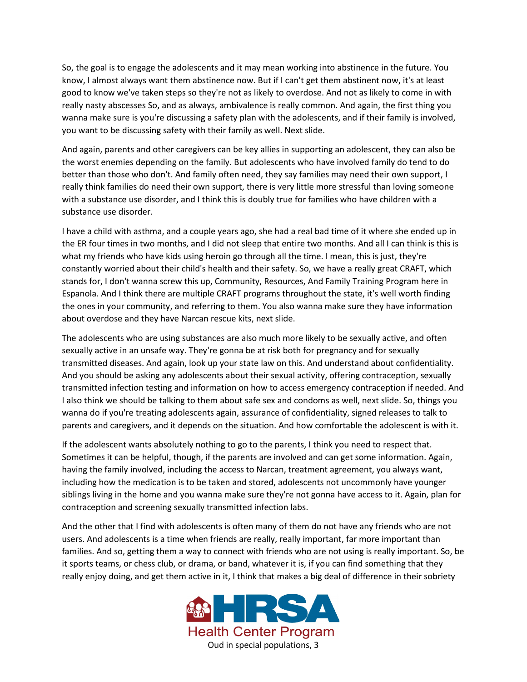So, the goal is to engage the adolescents and it may mean working into abstinence in the future. You know, I almost always want them abstinence now. But if I can't get them abstinent now, it's at least good to know we've taken steps so they're not as likely to overdose. And not as likely to come in with really nasty abscesses So, and as always, ambivalence is really common. And again, the first thing you wanna make sure is you're discussing a safety plan with the adolescents, and if their family is involved, you want to be discussing safety with their family as well. Next slide.

And again, parents and other caregivers can be key allies in supporting an adolescent, they can also be the worst enemies depending on the family. But adolescents who have involved family do tend to do better than those who don't. And family often need, they say families may need their own support, I really think families do need their own support, there is very little more stressful than loving someone with a substance use disorder, and I think this is doubly true for families who have children with a substance use disorder.

I have a child with asthma, and a couple years ago, she had a real bad time of it where she ended up in the ER four times in two months, and I did not sleep that entire two months. And all I can think is this is what my friends who have kids using heroin go through all the time. I mean, this is just, they're constantly worried about their child's health and their safety. So, we have a really great CRAFT, which stands for, I don't wanna screw this up, Community, Resources, And Family Training Program here in Espanola. And I think there are multiple CRAFT programs throughout the state, it's well worth finding the ones in your community, and referring to them. You also wanna make sure they have information about overdose and they have Narcan rescue kits, next slide.

The adolescents who are using substances are also much more likely to be sexually active, and often sexually active in an unsafe way. They're gonna be at risk both for pregnancy and for sexually transmitted diseases. And again, look up your state law on this. And understand about confidentiality. And you should be asking any adolescents about their sexual activity, offering contraception, sexually transmitted infection testing and information on how to access emergency contraception if needed. And I also think we should be talking to them about safe sex and condoms as well, next slide. So, things you wanna do if you're treating adolescents again, assurance of confidentiality, signed releases to talk to parents and caregivers, and it depends on the situation. And how comfortable the adolescent is with it.

If the adolescent wants absolutely nothing to go to the parents, I think you need to respect that. Sometimes it can be helpful, though, if the parents are involved and can get some information. Again, having the family involved, including the access to Narcan, treatment agreement, you always want, including how the medication is to be taken and stored, adolescents not uncommonly have younger siblings living in the home and you wanna make sure they're not gonna have access to it. Again, plan for contraception and screening sexually transmitted infection labs.

And the other that I find with adolescents is often many of them do not have any friends who are not users. And adolescents is a time when friends are really, really important, far more important than families. And so, getting them a way to connect with friends who are not using is really important. So, be it sports teams, or chess club, or drama, or band, whatever it is, if you can find something that they really enjoy doing, and get them active in it, I think that makes a big deal of difference in their sobriety

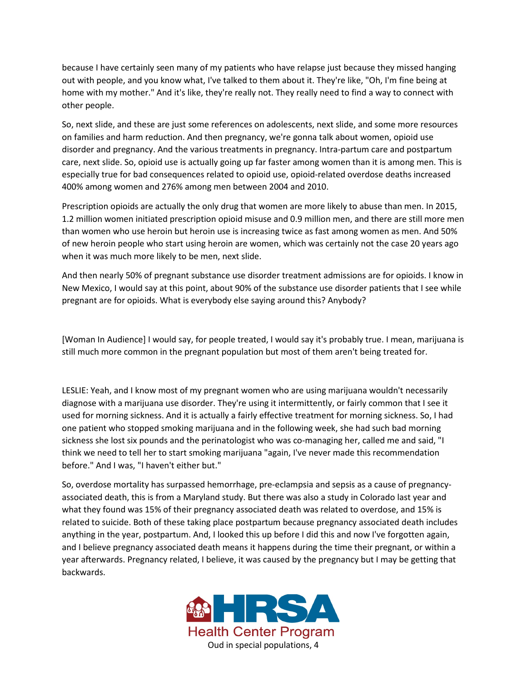because I have certainly seen many of my patients who have relapse just because they missed hanging out with people, and you know what, I've talked to them about it. They're like, "Oh, I'm fine being at home with my mother." And it's like, they're really not. They really need to find a way to connect with other people.

So, next slide, and these are just some references on adolescents, next slide, and some more resources on families and harm reduction. And then pregnancy, we're gonna talk about women, opioid use disorder and pregnancy. And the various treatments in pregnancy. Intra-partum care and postpartum care, next slide. So, opioid use is actually going up far faster among women than it is among men. This is especially true for bad consequences related to opioid use, opioid-related overdose deaths increased 400% among women and 276% among men between 2004 and 2010.

Prescription opioids are actually the only drug that women are more likely to abuse than men. In 2015, 1.2 million women initiated prescription opioid misuse and 0.9 million men, and there are still more men than women who use heroin but heroin use is increasing twice as fast among women as men. And 50% of new heroin people who start using heroin are women, which was certainly not the case 20 years ago when it was much more likely to be men, next slide.

And then nearly 50% of pregnant substance use disorder treatment admissions are for opioids. I know in New Mexico, I would say at this point, about 90% of the substance use disorder patients that I see while pregnant are for opioids. What is everybody else saying around this? Anybody?

[Woman In Audience] I would say, for people treated, I would say it's probably true. I mean, marijuana is still much more common in the pregnant population but most of them aren't being treated for.

LESLIE: Yeah, and I know most of my pregnant women who are using marijuana wouldn't necessarily diagnose with a marijuana use disorder. They're using it intermittently, or fairly common that I see it used for morning sickness. And it is actually a fairly effective treatment for morning sickness. So, I had one patient who stopped smoking marijuana and in the following week, she had such bad morning sickness she lost six pounds and the perinatologist who was co-managing her, called me and said, "I think we need to tell her to start smoking marijuana "again, I've never made this recommendation before." And I was, "I haven't either but."

So, overdose mortality has surpassed hemorrhage, pre-eclampsia and sepsis as a cause of pregnancyassociated death, this is from a Maryland study. But there was also a study in Colorado last year and what they found was 15% of their pregnancy associated death was related to overdose, and 15% is related to suicide. Both of these taking place postpartum because pregnancy associated death includes anything in the year, postpartum. And, I looked this up before I did this and now I've forgotten again, and I believe pregnancy associated death means it happens during the time their pregnant, or within a year afterwards. Pregnancy related, I believe, it was caused by the pregnancy but I may be getting that backwards.

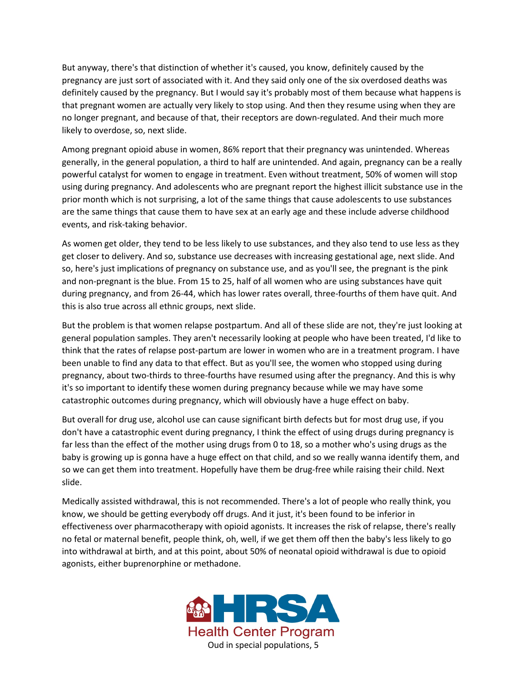But anyway, there's that distinction of whether it's caused, you know, definitely caused by the pregnancy are just sort of associated with it. And they said only one of the six overdosed deaths was definitely caused by the pregnancy. But I would say it's probably most of them because what happens is that pregnant women are actually very likely to stop using. And then they resume using when they are no longer pregnant, and because of that, their receptors are down-regulated. And their much more likely to overdose, so, next slide.

Among pregnant opioid abuse in women, 86% report that their pregnancy was unintended. Whereas generally, in the general population, a third to half are unintended. And again, pregnancy can be a really powerful catalyst for women to engage in treatment. Even without treatment, 50% of women will stop using during pregnancy. And adolescents who are pregnant report the highest illicit substance use in the prior month which is not surprising, a lot of the same things that cause adolescents to use substances are the same things that cause them to have sex at an early age and these include adverse childhood events, and risk-taking behavior.

As women get older, they tend to be less likely to use substances, and they also tend to use less as they get closer to delivery. And so, substance use decreases with increasing gestational age, next slide. And so, here's just implications of pregnancy on substance use, and as you'll see, the pregnant is the pink and non-pregnant is the blue. From 15 to 25, half of all women who are using substances have quit during pregnancy, and from 26-44, which has lower rates overall, three-fourths of them have quit. And this is also true across all ethnic groups, next slide.

But the problem is that women relapse postpartum. And all of these slide are not, they're just looking at general population samples. They aren't necessarily looking at people who have been treated, I'd like to think that the rates of relapse post-partum are lower in women who are in a treatment program. I have been unable to find any data to that effect. But as you'll see, the women who stopped using during pregnancy, about two-thirds to three-fourths have resumed using after the pregnancy. And this is why it's so important to identify these women during pregnancy because while we may have some catastrophic outcomes during pregnancy, which will obviously have a huge effect on baby.

But overall for drug use, alcohol use can cause significant birth defects but for most drug use, if you don't have a catastrophic event during pregnancy, I think the effect of using drugs during pregnancy is far less than the effect of the mother using drugs from 0 to 18, so a mother who's using drugs as the baby is growing up is gonna have a huge effect on that child, and so we really wanna identify them, and so we can get them into treatment. Hopefully have them be drug-free while raising their child. Next slide.

Medically assisted withdrawal, this is not recommended. There's a lot of people who really think, you know, we should be getting everybody off drugs. And it just, it's been found to be inferior in effectiveness over pharmacotherapy with opioid agonists. It increases the risk of relapse, there's really no fetal or maternal benefit, people think, oh, well, if we get them off then the baby's less likely to go into withdrawal at birth, and at this point, about 50% of neonatal opioid withdrawal is due to opioid agonists, either buprenorphine or methadone.

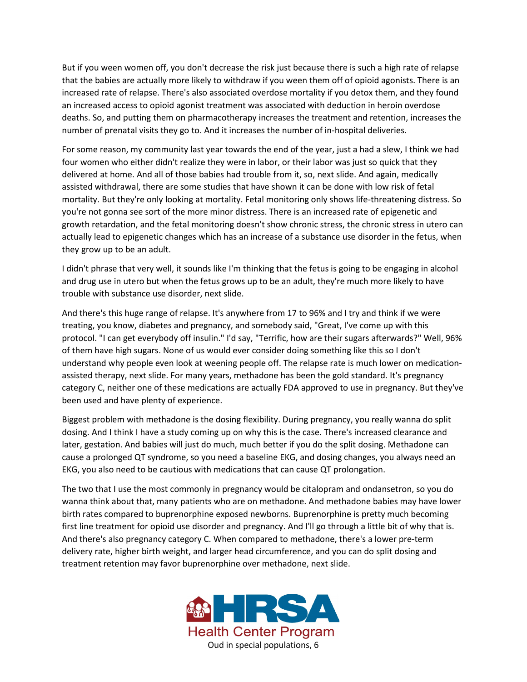But if you ween women off, you don't decrease the risk just because there is such a high rate of relapse that the babies are actually more likely to withdraw if you ween them off of opioid agonists. There is an increased rate of relapse. There's also associated overdose mortality if you detox them, and they found an increased access to opioid agonist treatment was associated with deduction in heroin overdose deaths. So, and putting them on pharmacotherapy increases the treatment and retention, increases the number of prenatal visits they go to. And it increases the number of in-hospital deliveries.

For some reason, my community last year towards the end of the year, just a had a slew, I think we had four women who either didn't realize they were in labor, or their labor was just so quick that they delivered at home. And all of those babies had trouble from it, so, next slide. And again, medically assisted withdrawal, there are some studies that have shown it can be done with low risk of fetal mortality. But they're only looking at mortality. Fetal monitoring only shows life-threatening distress. So you're not gonna see sort of the more minor distress. There is an increased rate of epigenetic and growth retardation, and the fetal monitoring doesn't show chronic stress, the chronic stress in utero can actually lead to epigenetic changes which has an increase of a substance use disorder in the fetus, when they grow up to be an adult.

I didn't phrase that very well, it sounds like I'm thinking that the fetus is going to be engaging in alcohol and drug use in utero but when the fetus grows up to be an adult, they're much more likely to have trouble with substance use disorder, next slide.

And there's this huge range of relapse. It's anywhere from 17 to 96% and I try and think if we were treating, you know, diabetes and pregnancy, and somebody said, "Great, I've come up with this protocol. "I can get everybody off insulin." I'd say, "Terrific, how are their sugars afterwards?" Well, 96% of them have high sugars. None of us would ever consider doing something like this so I don't understand why people even look at weening people off. The relapse rate is much lower on medicationassisted therapy, next slide. For many years, methadone has been the gold standard. It's pregnancy category C, neither one of these medications are actually FDA approved to use in pregnancy. But they've been used and have plenty of experience.

Biggest problem with methadone is the dosing flexibility. During pregnancy, you really wanna do split dosing. And I think I have a study coming up on why this is the case. There's increased clearance and later, gestation. And babies will just do much, much better if you do the split dosing. Methadone can cause a prolonged QT syndrome, so you need a baseline EKG, and dosing changes, you always need an EKG, you also need to be cautious with medications that can cause QT prolongation.

The two that I use the most commonly in pregnancy would be citalopram and ondansetron, so you do wanna think about that, many patients who are on methadone. And methadone babies may have lower birth rates compared to buprenorphine exposed newborns. Buprenorphine is pretty much becoming first line treatment for opioid use disorder and pregnancy. And I'll go through a little bit of why that is. And there's also pregnancy category C. When compared to methadone, there's a lower pre-term delivery rate, higher birth weight, and larger head circumference, and you can do split dosing and treatment retention may favor buprenorphine over methadone, next slide.

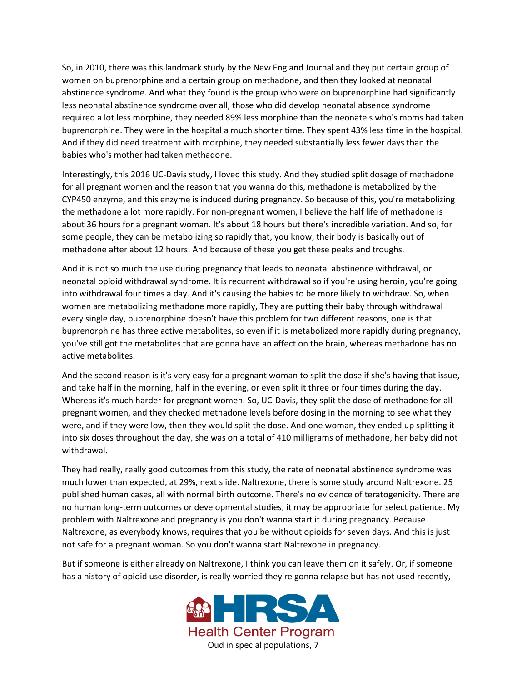So, in 2010, there was this landmark study by the New England Journal and they put certain group of women on buprenorphine and a certain group on methadone, and then they looked at neonatal abstinence syndrome. And what they found is the group who were on buprenorphine had significantly less neonatal abstinence syndrome over all, those who did develop neonatal absence syndrome required a lot less morphine, they needed 89% less morphine than the neonate's who's moms had taken buprenorphine. They were in the hospital a much shorter time. They spent 43% less time in the hospital. And if they did need treatment with morphine, they needed substantially less fewer days than the babies who's mother had taken methadone.

Interestingly, this 2016 UC-Davis study, I loved this study. And they studied split dosage of methadone for all pregnant women and the reason that you wanna do this, methadone is metabolized by the CYP450 enzyme, and this enzyme is induced during pregnancy. So because of this, you're metabolizing the methadone a lot more rapidly. For non-pregnant women, I believe the half life of methadone is about 36 hours for a pregnant woman. It's about 18 hours but there's incredible variation. And so, for some people, they can be metabolizing so rapidly that, you know, their body is basically out of methadone after about 12 hours. And because of these you get these peaks and troughs.

And it is not so much the use during pregnancy that leads to neonatal abstinence withdrawal, or neonatal opioid withdrawal syndrome. It is recurrent withdrawal so if you're using heroin, you're going into withdrawal four times a day. And it's causing the babies to be more likely to withdraw. So, when women are metabolizing methadone more rapidly, They are putting their baby through withdrawal every single day, buprenorphine doesn't have this problem for two different reasons, one is that buprenorphine has three active metabolites, so even if it is metabolized more rapidly during pregnancy, you've still got the metabolites that are gonna have an affect on the brain, whereas methadone has no active metabolites.

And the second reason is it's very easy for a pregnant woman to split the dose if she's having that issue, and take half in the morning, half in the evening, or even split it three or four times during the day. Whereas it's much harder for pregnant women. So, UC-Davis, they split the dose of methadone for all pregnant women, and they checked methadone levels before dosing in the morning to see what they were, and if they were low, then they would split the dose. And one woman, they ended up splitting it into six doses throughout the day, she was on a total of 410 milligrams of methadone, her baby did not withdrawal.

They had really, really good outcomes from this study, the rate of neonatal abstinence syndrome was much lower than expected, at 29%, next slide. Naltrexone, there is some study around Naltrexone. 25 published human cases, all with normal birth outcome. There's no evidence of teratogenicity. There are no human long-term outcomes or developmental studies, it may be appropriate for select patience. My problem with Naltrexone and pregnancy is you don't wanna start it during pregnancy. Because Naltrexone, as everybody knows, requires that you be without opioids for seven days. And this is just not safe for a pregnant woman. So you don't wanna start Naltrexone in pregnancy.

But if someone is either already on Naltrexone, I think you can leave them on it safely. Or, if someone has a history of opioid use disorder, is really worried they're gonna relapse but has not used recently,

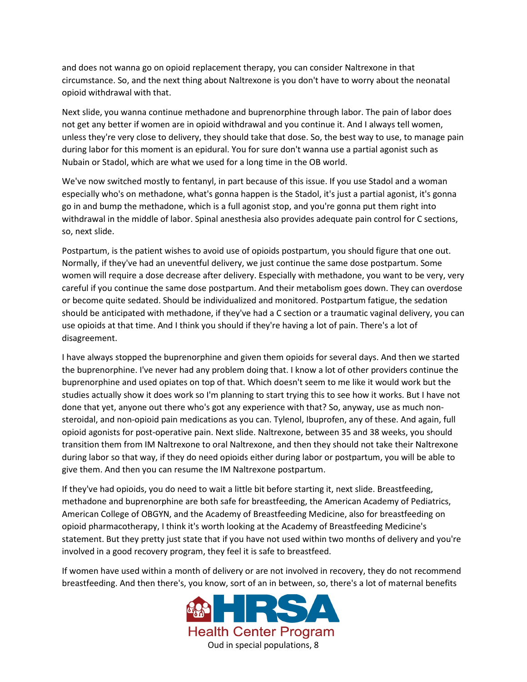and does not wanna go on opioid replacement therapy, you can consider Naltrexone in that circumstance. So, and the next thing about Naltrexone is you don't have to worry about the neonatal opioid withdrawal with that.

Next slide, you wanna continue methadone and buprenorphine through labor. The pain of labor does not get any better if women are in opioid withdrawal and you continue it. And I always tell women, unless they're very close to delivery, they should take that dose. So, the best way to use, to manage pain during labor for this moment is an epidural. You for sure don't wanna use a partial agonist such as Nubain or Stadol, which are what we used for a long time in the OB world.

We've now switched mostly to fentanyl, in part because of this issue. If you use Stadol and a woman especially who's on methadone, what's gonna happen is the Stadol, it's just a partial agonist, it's gonna go in and bump the methadone, which is a full agonist stop, and you're gonna put them right into withdrawal in the middle of labor. Spinal anesthesia also provides adequate pain control for C sections, so, next slide.

Postpartum, is the patient wishes to avoid use of opioids postpartum, you should figure that one out. Normally, if they've had an uneventful delivery, we just continue the same dose postpartum. Some women will require a dose decrease after delivery. Especially with methadone, you want to be very, very careful if you continue the same dose postpartum. And their metabolism goes down. They can overdose or become quite sedated. Should be individualized and monitored. Postpartum fatigue, the sedation should be anticipated with methadone, if they've had a C section or a traumatic vaginal delivery, you can use opioids at that time. And I think you should if they're having a lot of pain. There's a lot of disagreement.

I have always stopped the buprenorphine and given them opioids for several days. And then we started the buprenorphine. I've never had any problem doing that. I know a lot of other providers continue the buprenorphine and used opiates on top of that. Which doesn't seem to me like it would work but the studies actually show it does work so I'm planning to start trying this to see how it works. But I have not done that yet, anyone out there who's got any experience with that? So, anyway, use as much nonsteroidal, and non-opioid pain medications as you can. Tylenol, Ibuprofen, any of these. And again, full opioid agonists for post-operative pain. Next slide. Naltrexone, between 35 and 38 weeks, you should transition them from IM Naltrexone to oral Naltrexone, and then they should not take their Naltrexone during labor so that way, if they do need opioids either during labor or postpartum, you will be able to give them. And then you can resume the IM Naltrexone postpartum.

If they've had opioids, you do need to wait a little bit before starting it, next slide. Breastfeeding, methadone and buprenorphine are both safe for breastfeeding, the American Academy of Pediatrics, American College of OBGYN, and the Academy of Breastfeeding Medicine, also for breastfeeding on opioid pharmacotherapy, I think it's worth looking at the Academy of Breastfeeding Medicine's statement. But they pretty just state that if you have not used within two months of delivery and you're involved in a good recovery program, they feel it is safe to breastfeed.

If women have used within a month of delivery or are not involved in recovery, they do not recommend breastfeeding. And then there's, you know, sort of an in between, so, there's a lot of maternal benefits